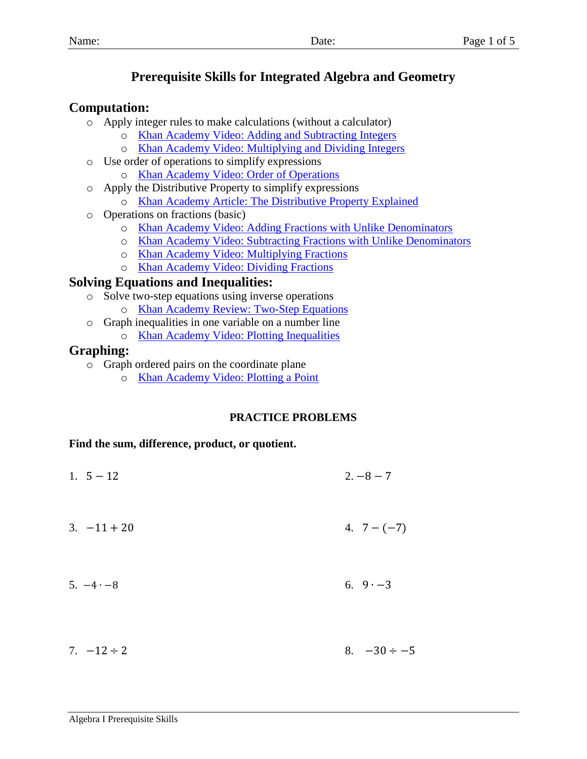# **Prerequisite Skills for Integrated Algebra and Geometry**

# **Computation:**

- o Apply integer rules to make calculations (without a calculator)
	- o Khan Academy [Video: Adding and Subtracting Integers](https://www.khanacademy.org/math/arithmetic/arith-review-negative-numbers/arith-review-sub-neg-intro/v/adding-and-subtracting-negative-number-examples?modal=1)
	- o [Khan Academy Video: Multiplying and Dividing Integers](https://www.khanacademy.org/math/arithmetic-home/negative-numbers/mult-divide-negatives/v/multiplying-and-dividing-negative-numbers)
- o Use order of operations to simplify expressions
	- o [Khan Academy Video: Order of Operations](https://www.khanacademy.org/math/pre-algebra/pre-algebra-arith-prop/pre-algebra-order-of-operations/v/introduction-to-order-of-operations)
- o Apply the Distributive Property to simplify expressions o [Khan Academy Article: The Distributive Property Explained](https://www.khanacademy.org/math/pre-algebra/pre-algebra-arith-prop/pre-algebra-ditributive-property/a/distributive-property-explained)
- o Operations on fractions (basic)
	- o [Khan Academy Video: Adding Fractions with Unlike Denominators](https://www.khanacademy.org/math/arithmetic/fraction-arithmetic/arith-review-add-sub-fractions/v/adding-small-fractions-with-unlike-denominators)
	- o [Khan Academy Video: Subtracting Fractions with Unlike Denominators](https://www.khanacademy.org/math/arithmetic/fraction-arithmetic/arith-review-add-sub-fractions/v/subtracting-small-fractions-with-unlike-denominators)
	- o [Khan Academy Video: Multiplying Fractions](https://www.khanacademy.org/math/arithmetic/fraction-arithmetic/arith-review-multiply-fractions/v/multiplying-fractions)
	- o [Khan Academy Video: Dividing Fractions](https://www.khanacademy.org/math/arithmetic/fraction-arithmetic/arith-review-dividing-fractions/v/another-dividing-fractions-example)

# **Solving Equations and Inequalities:**

- o Solve two-step equations using inverse operations
	- o [Khan Academy Review: Two-Step Equations](https://www.khanacademy.org/math/pre-algebra/pre-algebra-equations-expressions/pre-algebra-2-step-equations-intro/a/two-step-equations-review)
- o Graph inequalities in one variable on a number line
	- o [Khan Academy Video: Plotting Inequalities](https://www.khanacademy.org/math/pre-algebra/pre-algebra-equations-expressions/pre-algebra-greater-than-less-than/v/plotting-inequalities-on-a-number-line)

# **Graphing:**

- o Graph ordered pairs on the coordinate plane
	- o [Khan Academy Video: Plotting a Point](https://www.khanacademy.org/math/basic-geo/basic-geo-coord-plane/coordinate-plane-4-quad/v/plot-ordered-pairs)

# **PRACTICE PROBLEMS**

## **Find the sum, difference, product, or quotient.**

- 1.  $5 12$  2.  $-8 7$  $3. -11 + 20$  4.  $7 - (-7)$  $5. -4 \cdot -8$  6.  $9 \cdot -3$
- $7. -12 \div 2$  8.  $-30 \div -5$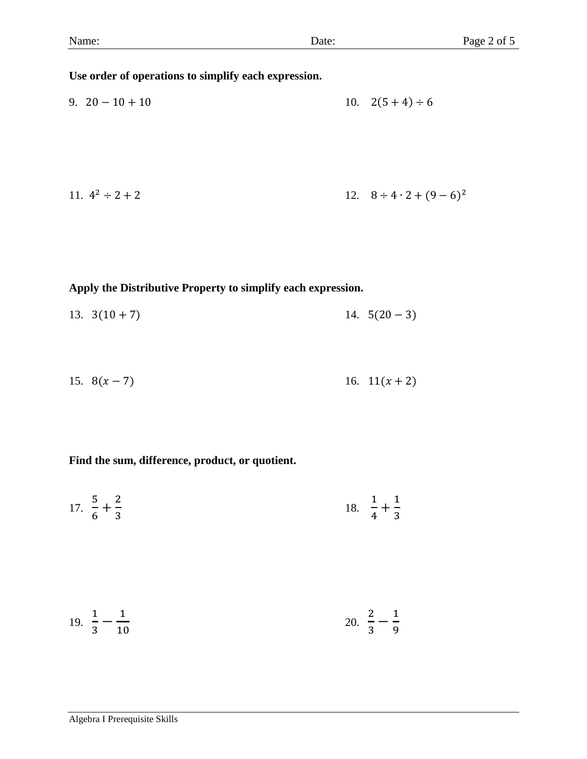#### **Use order of operations to simplify each expression.**

9.  $20 - 10 + 10$  10.  $2(5 + 4) \div 6$ 

11. 
$$
4^2 \div 2 + 2
$$
  
12.  $8 \div 4 \cdot 2 + (9 - 6)^2$ 

#### **Apply the Distributive Property to simplify each expression.**

- 13.  $3(10+7)$  14.  $5(20-3)$
- 15.  $8(x-7)$  16.  $11(x+2)$

### **Find the sum, difference, product, or quotient.**

17. 5  $\frac{5}{6} + \frac{2}{3}$ 3 18. 1  $\frac{1}{4} + \frac{1}{3}$ 3

$$
19. \ \frac{1}{3} - \frac{1}{10} \qquad \qquad 20. \ \frac{2}{3} - \frac{1}{9}
$$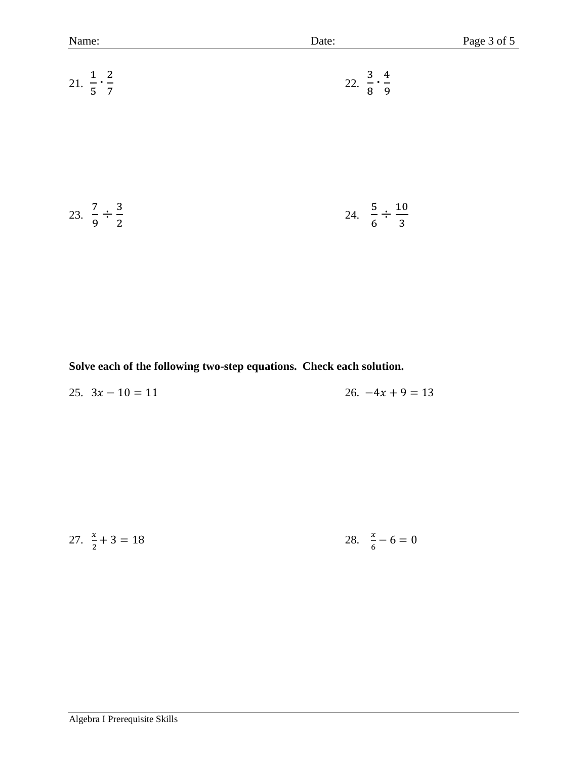| Name:                              | Date:                               |
|------------------------------------|-------------------------------------|
| 21. $rac{1}{5} \cdot \frac{2}{7}$  | 22. $\frac{3}{8} \cdot \frac{4}{9}$ |
| 23. $\frac{7}{9} \div \frac{3}{2}$ | 24. $\frac{5}{6} \div \frac{10}{3}$ |

Page 3 of 5

**Solve each of the following two-step equations. Check each solution.**

| 25. $3x - 10 = 11$ | 26. $-4x + 9 = 13$ |
|--------------------|--------------------|
|--------------------|--------------------|

27. 
$$
\frac{x}{2} + 3 = 18
$$
 28.  $\frac{x}{6} - 6 = 0$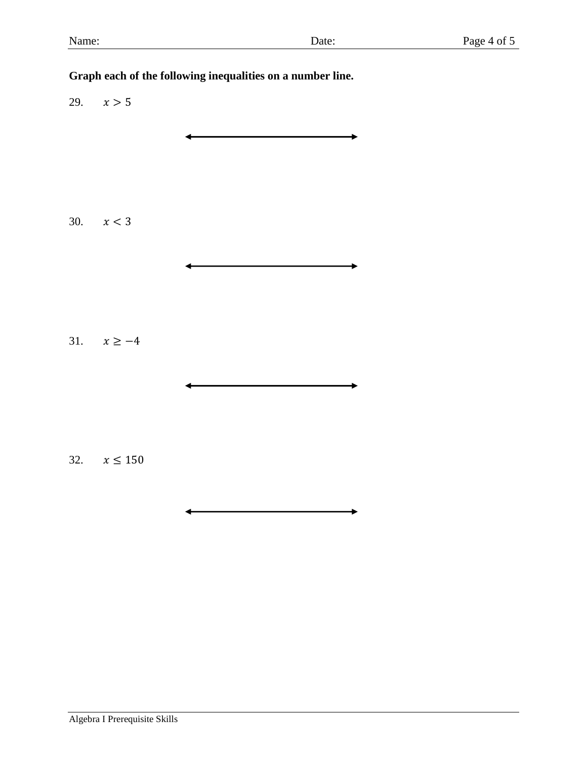# **Graph each of the following inequalities on a number line.** 29.  $x > 5$ 30.  $x < 3$ 31.  $x \ge -4$ 32.  $x \le 150$